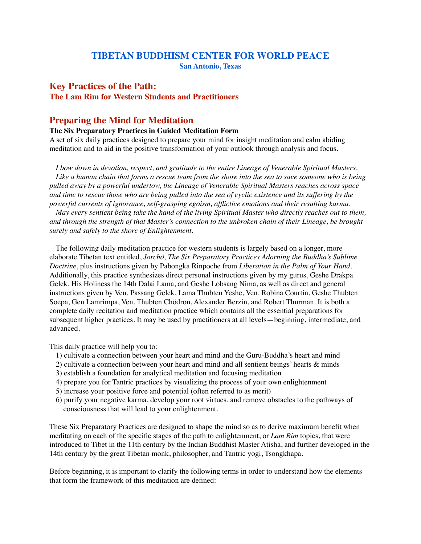# **TIBETAN BUDDHISM CENTER FOR WORLD PEACE**

**San Antonio, Texas**

# **Key Practices of the Path:**

# **The Lam Rim for Western Students and Practitioners**

# **Preparing the Mind for Meditation**

# **The Six Preparatory Practices in Guided Meditation Form**

A set of six daily practices designed to prepare your mind for insight meditation and calm abiding meditation and to aid in the positive transformation of your outlook through analysis and focus.

*I bow down in devotion, respect, and gratitude to the entire Lineage of Venerable Spiritual Masters. Like a human chain that forms a rescue team from the shore into the sea to save someone who is being pulled away by a powerful undertow, the Lineage of Venerable Spiritual Masters reaches across space and time to rescue those who are being pulled into the sea of cyclic existence and its suffering by the powerful currents of ignorance, self-grasping egoism, afflictive emotions and their resulting karma.* 

*May every sentient being take the hand of the living Spiritual Master who directly reaches out to them, and through the strength of that Master's connection to the unbroken chain of their Lineage, be brought surely and safely to the shore of Enlightenment.*

The following daily meditation practice for western students is largely based on a longer, more elaborate Tibetan text entitled, *[Jorchö,](https://www.amazon.com/gp/product/8185102376/ref=ppx_yo_dt_b_search_asin_title?ie=UTF8&psc=1) The Six Preparatory Practices Adorning the Buddha's Sublime Doctrine*, plus instructions given by Pabongka Rinpoche from *Liberation in the Palm of Your Hand*. Additionally, this practice synthesizes direct personal instructions given by my gurus, Geshe Drakpa Gelek, His Holiness the 14th Dalai Lama, and Geshe Lobsang Nima, as well as direct and general instructions given by Ven. Passang Gelek, Lama Thubten Yeshe, Ven. Robina Courtin, Geshe Thubten Soepa, Gen Lamrimpa, Ven. Thubten Chödron, Alexander Berzin, and Robert Thurman. It is both a complete daily recitation and meditation practice which contains all the essential preparations for subsequent higher practices. It may be used by practitioners at all levels—beginning, intermediate, and advanced.

This daily practice will help you to:

- 1) cultivate a connection between your heart and mind and the Guru-Buddha's heart and mind
- 2) cultivate a connection between your heart and mind and all sentient beings' hearts & minds
- 3) establish a foundation for analytical meditation and focusing meditation
- 4) prepare you for Tantric practices by visualizing the process of your own enlightenment
- 5) increase your positive force and potential (often referred to as merit)
- 6) purify your negative karma, develop your root virtues, and remove obstacles to the pathways of consciousness that will lead to your enlightenment.

These Six Preparatory Practices are designed to shape the mind so as to derive maximum benefit when meditating on each of the specific stages of the path to enlightenment, or *Lam Rim* topics, that were introduced to Tibet in the 11th century by the Indian Buddhist Master Atisha, and further developed in the 14th century by the great Tibetan monk, philosopher, and Tantric yogi, Tsongkhapa.

Before beginning, it is important to clarify the following terms in order to understand how the elements that form the framework of this meditation are defined: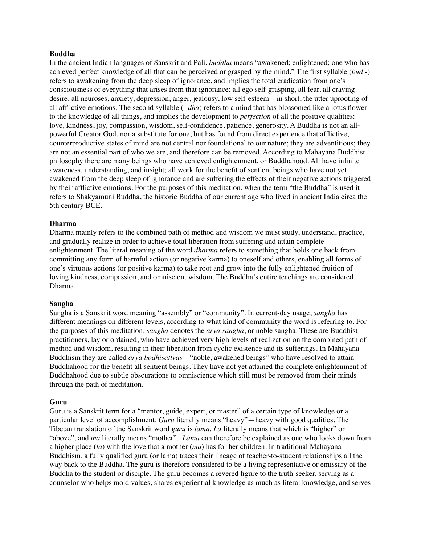# **Buddha**

In the ancient Indian languages of Sanskrit and Pali, *buddha* means "awakened; enlightened; one who has achieved perfect knowledge of all that can be perceived or grasped by the mind." The first syllable (*bud -*) refers to awakening from the deep sleep of ignorance, and implies the total eradication from one's consciousness of everything that arises from that ignorance: all ego self-grasping, all fear, all craving desire, all neuroses, anxiety, depression, anger, jealousy, low self-esteem—in short, the utter uprooting of all afflictive emotions. The second syllable (- *dha*) refers to a mind that has blossomed like a lotus flower to the knowledge of all things, and implies the development to *perfection* of all the positive qualities: love, kindness, joy, compassion, wisdom, self-confidence, patience, generosity. A Buddha is not an allpowerful Creator God, nor a substitute for one, but has found from direct experience that afflictive, counterproductive states of mind are not central nor foundational to our nature; they are adventitious; they are not an essential part of who we are, and therefore can be removed. According to Mahayana Buddhist philosophy there are many beings who have achieved enlightenment, or Buddhahood. All have infinite awareness, understanding, and insight; all work for the benefit of sentient beings who have not yet awakened from the deep sleep of ignorance and are suffering the effects of their negative actions triggered by their afflictive emotions. For the purposes of this meditation, when the term "the Buddha" is used it refers to Shakyamuni Buddha, the historic Buddha of our current age who lived in ancient India circa the 5th century BCE.

#### **Dharma**

Dharma mainly refers to the combined path of method and wisdom we must study, understand, practice, and gradually realize in order to achieve total liberation from suffering and attain complete enlightenment. The literal meaning of the word *dharma* refers to something that holds one back from committing any form of harmful action (or negative karma) to oneself and others, enabling all forms of one's virtuous actions (or positive karma) to take root and grow into the fully enlightened fruition of loving kindness, compassion, and omniscient wisdom. The Buddha's entire teachings are considered Dharma.

#### **Sangha**

Sangha is a Sanskrit word meaning "assembly" or "community". In current-day usage, *sangha* has different meanings on different levels, according to what kind of community the word is referring to. For the purposes of this meditation, *sangha* denotes the *arya sangha*, or noble sangha. These are Buddhist practitioners, lay or ordained, who have achieved very high levels of realization on the combined path of method and wisdom, resulting in their liberation from cyclic existence and its sufferings. In Mahayana Buddhism they are called *arya bodhisattvas*—"noble, awakened beings" who have resolved to attain Buddhahood for the benefit all sentient beings. They have not yet attained the complete enlightenment of Buddhahood due to subtle obscurations to omniscience which still must be removed from their minds through the path of meditation.

## **Guru**

Guru is a Sanskrit term for a "mentor, guide, expert, or master" of a certain type of knowledge or a particular level of accomplishment. *Guru* literally means "heavy"—heavy with good qualities. The Tibetan translation of the Sanskrit word *guru* is *lama*. *La* literally means that which is "higher" or "above", and *ma* literally means "mother". *Lama* can therefore be explained as one who looks down from a higher place (*la*) with the love that a mother (*ma*) has for her children. In traditional Mahayana Buddhism, a fully qualified guru (or lama) traces their lineage of teacher-to-student relationships all the way back to the Buddha. The guru is therefore considered to be a living representative or emissary of the Buddha to the student or disciple. The guru becomes a revered figure to the truth-seeker, serving as a counselor who helps mold values, shares experiential knowledge as much as literal knowledge, and serves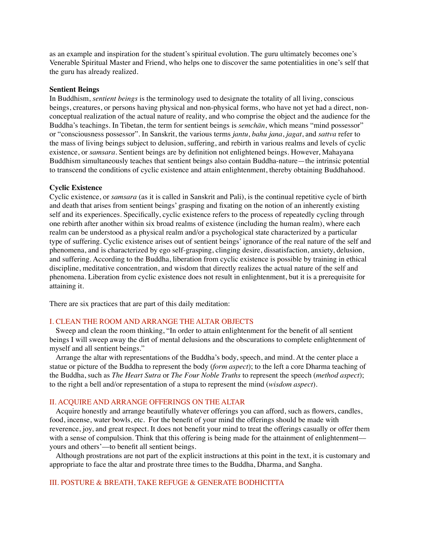as an example and inspiration for the student's spiritual evolution. The guru ultimately becomes one's Venerable Spiritual Master and Friend, who helps one to discover the same potentialities in one's self that the guru has already realized.

### **Sentient Beings**

In Buddhism, *sentient beings* is the terminology used to designate the totality of all living, conscious beings, creatures, or persons having physical and non-physical forms, who have not yet had a direct, nonconceptual realization of the actual nature of reality, and who comprise the object and the audience for the Buddha's teachings. In Tibetan, the term for sentient beings is *semchän*, which means "mind possessor" or "consciousness possessor". In Sanskrit, the various terms *jantu*, *bahu jana*, *jagat*, and *sattva* refer to the mass of living beings subject to delusion, suffering, and rebirth in various realms and levels of cyclic existence, or *samsara*. Sentient beings are by definition not enlightened beings. However, Mahayana Buddhism simultaneously teaches that sentient beings also contain Buddha-nature—the intrinsic potential to transcend the conditions of cyclic existence and attain enlightenment, thereby obtaining Buddhahood.

#### **Cyclic Existence**

Cyclic existence, or *samsara* (as it is called in Sanskrit and Pali), is the continual repetitive cycle of birth and death that arises from sentient beings' grasping and fixating on the notion of an inherently existing self and its experiences. Specifically, cyclic existence refers to the process of repeatedly cycling through one rebirth after another within six broad realms of existence (including the human realm), where each realm can be understood as a physical realm and/or a psychological state characterized by a particular type of suffering. Cyclic existence arises out of sentient beings' ignorance of the real nature of the self and phenomena, and is characterized by ego self-grasping, clinging desire, dissatisfaction, anxiety, delusion, and suffering. According to the Buddha, liberation from cyclic existence is possible by training in ethical discipline, meditative concentration, and wisdom that directly realizes the actual nature of the self and phenomena. Liberation from cyclic existence does not result in enlightenment, but it is a prerequisite for attaining it.

There are six practices that are part of this daily meditation:

# I. CLEAN THE ROOM AND ARRANGE THE ALTAR OBJECTS

Sweep and clean the room thinking, "In order to attain enlightenment for the benefit of all sentient beings I will sweep away the dirt of mental delusions and the obscurations to complete enlightenment of myself and all sentient beings."

Arrange the altar with representations of the Buddha's body, speech, and mind. At the center place a statue or picture of the Buddha to represent the body (*form aspect*); to the left a core Dharma teaching of the Buddha, such as *The Heart Sutra* or *The Four Noble Truths* to represent the speech (*method aspect*); to the right a bell and/or representation of a stupa to represent the mind (*wisdom aspect*).

# II. ACQUIRE AND ARRANGE OFFERINGS ON THE ALTAR

Acquire honestly and arrange beautifully whatever offerings you can afford, such as flowers, candles, food, incense, water bowls, etc. For the benefit of your mind the offerings should be made with reverence, joy, and great respect. It does not benefit your mind to treat the offerings casually or offer them with a sense of compulsion. Think that this offering is being made for the attainment of enlightenment yours and others'––to benefit all sentient beings.

Although prostrations are not part of the explicit instructions at this point in the text, it is customary and appropriate to face the altar and prostrate three times to the Buddha, Dharma, and Sangha.

### III. POSTURE & BREATH, TAKE REFUGE & GENERATE BODHICITTA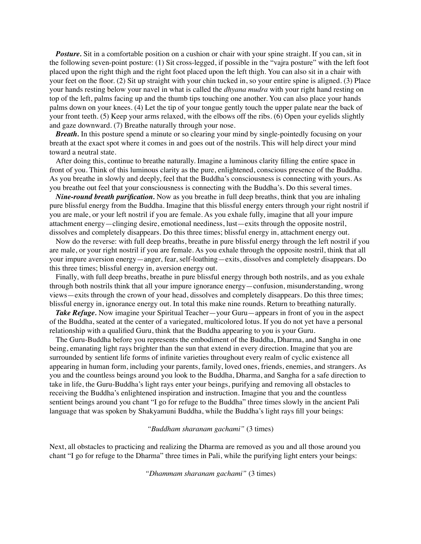*Posture.* Sit in a comfortable position on a cushion or chair with your spine straight. If you can, sit in the following seven-point posture: (1) Sit cross-legged, if possible in the "vajra posture" with the left foot placed upon the right thigh and the right foot placed upon the left thigh. You can also sit in a chair with your feet on the floor. (2) Sit up straight with your chin tucked in, so your entire spine is aligned. (3) Place your hands resting below your navel in what is called the *[dhyana mudra](https://www.yogapedia.com/definition/6871/dhyana-mudra)* with your right hand resting on top of the left, palms facing up and the thumb tips touching one another. You can also place your hands palms down on your knees. (4) Let the tip of your tongue gently touch the upper palate near the back of your front teeth. (5) Keep your arms relaxed, with the elbows off the ribs. (6) Open your eyelids slightly and gaze downward. (7) Breathe naturally through your nose.

*Breath.* In this posture spend a minute or so clearing your mind by single-pointedly focusing on your breath at the exact spot where it comes in and goes out of the nostrils. This will help direct your mind toward a neutral state.

After doing this, continue to breathe naturally. Imagine a luminous clarity filling the entire space in front of you. Think of this luminous clarity as the pure, enlightened, conscious presence of the Buddha. As you breathe in slowly and deeply, feel that the Buddha's consciousness is connecting with yours. As you breathe out feel that your consciousness is connecting with the Buddha's. Do this several times.

*Nine-round breath purification.* Now as you breathe in full deep breaths, think that you are inhaling pure blissful energy from the Buddha. Imagine that this blissful energy enters through your right nostril if you are male, or your left nostril if you are female. As you exhale fully, imagine that all your impure attachment energy—clinging desire, emotional neediness, lust—exits through the opposite nostril, dissolves and completely disappears. Do this three times; blissful energy in, attachment energy out.

Now do the reverse: with full deep breaths, breathe in pure blissful energy through the left nostril if you are male, or your right nostril if you are female. As you exhale through the opposite nostril, think that all your impure aversion energy—anger, fear, self-loathing—exits, dissolves and completely disappears. Do this three times; blissful energy in, aversion energy out.

Finally, with full deep breaths, breathe in pure blissful energy through both nostrils, and as you exhale through both nostrils think that all your impure ignorance energy—confusion, misunderstanding, wrong views—exits through the crown of your head, dissolves and completely disappears. Do this three times; blissful energy in, ignorance energy out. In total this make nine rounds. Return to breathing naturally.

*Take Refuge.* Now imagine your Spiritual Teacher—your Guru—appears in front of you in the aspect of the Buddha, seated at the center of a variegated, multicolored lotus. If you do not yet have a personal relationship with a qualified Guru, think that the Buddha appearing to you is your Guru.

The Guru-Buddha before you represents the embodiment of the Buddha, Dharma, and Sangha in one being, emanating light rays brighter than the sun that extend in every direction. Imagine that you are surrounded by sentient life forms of infinite varieties throughout every realm of cyclic existence all appearing in human form, including your parents, family, loved ones, friends, enemies, and strangers. As you and the countless beings around you look to the Buddha, Dharma, and Sangha for a safe direction to take in life, the Guru-Buddha's light rays enter your beings, purifying and removing all obstacles to receiving the Buddha's enlightened inspiration and instruction. Imagine that you and the countless sentient beings around you chant "I go for refuge to the Buddha" three times slowly in the ancient Pali language that was spoken by Shakyamuni Buddha, while the Buddha's light rays fill your beings:

#### *"Buddham sharanam gachami"* (3 times)

Next, all obstacles to practicing and realizing the Dharma are removed as you and all those around you chant "I go for refuge to the Dharma" three times in Pali, while the purifying light enters your beings:

*"Dhammam sharanam gachami"* (3 times)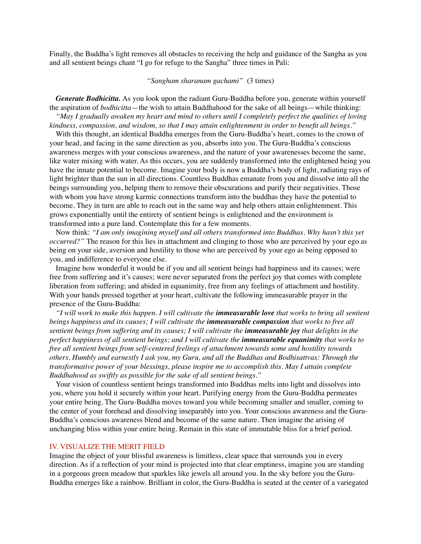Finally, the Buddha's light removes all obstacles to receiving the help and guidance of the Sangha as you and all sentient beings chant "I go for refuge to the Sangha" three times in Pali:

# *"Sangham sharanam gachami"* (3 times)

*Generate Bodhicitta.* As you look upon the radiant Guru-Buddha before you, generate within yourself the aspiration of *bodhicitta*—the wish to attain Buddhahood for the sake of all beings—while thinking:

*"May I gradually awaken my heart and mind to others until I completely perfect the qualities of loving kindness, compassion, and wisdom, so that I may attain enlightenment in order to benefit all beings."*

With this thought, an identical Buddha emerges from the Guru-Buddha's heart, comes to the crown of your head, and facing in the same direction as you, absorbs into you. The Guru-Buddha's conscious awareness merges with your conscious awareness, and the nature of your awarenesses become the same, like water mixing with water. As this occurs, you are suddenly transformed into the enlightened being you have the innate potential to become. Imagine your body is now a Buddha's body of light, radiating rays of light brighter than the sun in all directions. Countless Buddhas emanate from you and dissolve into all the beings surrounding you, helping them to remove their obscurations and purify their negativities. Those with whom you have strong karmic connections transform into the buddhas they have the potential to become. They in turn are able to reach out in the same way and help others attain enlightenment. This grows exponentially until the entirety of sentient beings is enlightened and the environment is transformed into a pure land. Contemplate this for a few moments.

Now think: *"I am only imagining myself and all others transformed into Buddhas. Why hasn't this yet occurred?"* The reason for this lies in attachment and clinging to those who are perceived by your ego as being on your side, aversion and hostility to those who are perceived by your ego as being opposed to you, and indifference to everyone else.

Imagine how wonderful it would be if you and all sentient beings had happiness and its causes; were free from suffering and it's causes; were never separated from the perfect joy that comes with complete liberation from suffering; and abided in equanimity, free from any feelings of attachment and hostility. With your hands pressed together at your heart, cultivate the following immeasurable prayer in the presence of the Guru-Buddha:

*"I will work to make this happen. I will cultivate the immeasurable love that works to bring all sentient beings happiness and its causes; I will cultivate the immeasurable compassion that works to free all sentient beings from suffering and its causes; I will cultivate the immeasurable joy that delights in the perfect happiness of all sentient beings; and I will cultivate the immeasurable equanimity that works to free all sentient beings from self-centered feelings of attachment towards some and hostility towards others. Humbly and earnestly I ask you, my Guru, and all the Buddhas and Bodhisattvas: Through the transformative power of your blessings, please inspire me to accomplish this. May I attain complete Buddhahood as swiftly as possible for the sake of all sentient beings."*

Your vision of countless sentient beings transformed into Buddhas melts into light and dissolves into you, where you hold it securely within your heart. Purifying energy from the Guru-Buddha permeates your entire being. The Guru-Buddha moves toward you while becoming smaller and smaller, coming to the center of your forehead and dissolving inseparably into you. Your conscious awareness and the Guru-Buddha's conscious awareness blend and become of the same nature. Then imagine the arising of unchanging bliss within your entire being. Remain in this state of immutable bliss for a brief period.

## IV. VISUALIZE THE MERIT FIELD

Imagine the object of your blissful awareness is limitless, clear space that surrounds you in every direction. As if a reflection of your mind is projected into that clear emptiness, imagine you are standing in a gorgeous green meadow that sparkles like jewels all around you. In the sky before you the Guru-Buddha emerges like a rainbow. Brilliant in color, the Guru-Buddha is seated at the center of a variegated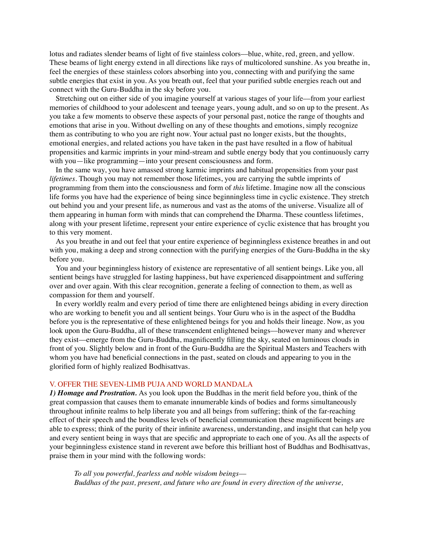lotus and radiates slender beams of light of five stainless colors––blue, white, red, green, and yellow. These beams of light energy extend in all directions like rays of multicolored sunshine. As you breathe in, feel the energies of these stainless colors absorbing into you, connecting with and purifying the same subtle energies that exist in you. As you breath out, feel that your purified subtle energies reach out and connect with the Guru-Buddha in the sky before you.

Stretching out on either side of you imagine yourself at various stages of your life––from your earliest memories of childhood to your adolescent and teenage years, young adult, and so on up to the present. As you take a few moments to observe these aspects of your personal past, notice the range of thoughts and emotions that arise in you. Without dwelling on any of these thoughts and emotions, simply recognize them as contributing to who you are right now. Your actual past no longer exists, but the thoughts, emotional energies, and related actions you have taken in the past have resulted in a flow of habitual propensities and karmic imprints in your mind-stream and subtle energy body that you continuously carry with you—like programming—into your present consciousness and form.

In the same way, you have amassed strong karmic imprints and habitual propensities from your past *lifetimes.* Though you may not remember those lifetimes, you are carrying the subtle imprints of programming from them into the consciousness and form of *this* lifetime. Imagine now all the conscious life forms you have had the experience of being since beginningless time in cyclic existence. They stretch out behind you and your present life, as numerous and vast as the atoms of the universe. Visualize all of them appearing in human form with minds that can comprehend the Dharma. These countless lifetimes, along with your present lifetime, represent your entire experience of cyclic existence that has brought you to this very moment.

As you breathe in and out feel that your entire experience of beginningless existence breathes in and out with you, making a deep and strong connection with the purifying energies of the Guru-Buddha in the sky before you.

You and your beginningless history of existence are representative of all sentient beings. Like you, all sentient beings have struggled for lasting happiness, but have experienced disappointment and suffering over and over again. With this clear recognition, generate a feeling of connection to them, as well as compassion for them and yourself.

In every worldly realm and every period of time there are enlightened beings abiding in every direction who are working to benefit you and all sentient beings. Your Guru who is in the aspect of the Buddha before you is the representative of these enlightened beings for you and holds their lineage. Now, as you look upon the Guru-Buddha, all of these transcendent enlightened beings––however many and wherever they exist––emerge from the Guru-Buddha, magnificently filling the sky, seated on luminous clouds in front of you. Slightly below and in front of the Guru-Buddha are the Spiritual Masters and Teachers with whom you have had beneficial connections in the past, seated on clouds and appearing to you in the glorified form of highly realized Bodhisattvas.

#### V. OFFER THE SEVEN-LIMB PUJA AND WORLD MANDALA

*1) Homage and Prostration.* As you look upon the Buddhas in the merit field before you, think of the great compassion that causes them to emanate innumerable kinds of bodies and forms simultaneously throughout infinite realms to help liberate you and all beings from suffering; think of the far-reaching effect of their speech and the boundless levels of beneficial communication these magnificent beings are able to express; think of the purity of their infinite awareness, understanding, and insight that can help you and every sentient being in ways that are specific and appropriate to each one of you. As all the aspects of your beginningless existence stand in reverent awe before this brilliant host of Buddhas and Bodhisattvas, praise them in your mind with the following words:

*To all you powerful, fearless and noble wisdom beings–– Buddhas of the past, present, and future who are found in every direction of the universe,*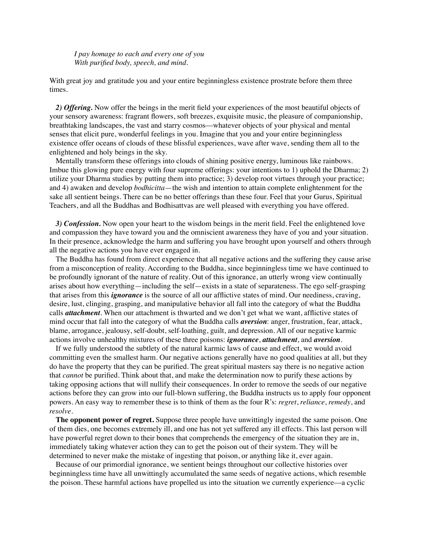*I pay homage to each and every one of you With purified body, speech, and mind.*

With great joy and gratitude you and your entire beginningless existence prostrate before them three times.

2) Offering. Now offer the beings in the merit field your experiences of the most beautiful objects of your sensory awareness: fragrant flowers, soft breezes, exquisite music, the pleasure of companionship, breathtaking landscapes, the vast and starry cosmos––whatever objects of your physical and mental senses that elicit pure, wonderful feelings in you. Imagine that you and your entire beginningless existence offer oceans of clouds of these blissful experiences, wave after wave, sending them all to the enlightened and holy beings in the sky.

Mentally transform these offerings into clouds of shining positive energy, luminous like rainbows. Imbue this glowing pure energy with four supreme offerings: your intentions to 1) uphold the Dharma; 2) utilize your Dharma studies by putting them into practice; 3) develop root virtues through your practice; and 4) awaken and develop *bodhicitta*—the wish and intention to attain complete enlightenment for the sake all sentient beings. There can be no better offerings than these four. Feel that your Gurus, Spiritual Teachers, and all the Buddhas and Bodhisattvas are well pleased with everything you have offered.

*3) Confession.* Now open your heart to the wisdom beings in the merit field. Feel the enlightened love and compassion they have toward you and the omniscient awareness they have of you and your situation. In their presence, acknowledge the harm and suffering you have brought upon yourself and others through all the negative actions you have ever engaged in.

The Buddha has found from direct experience that all negative actions and the suffering they cause arise from a misconception of reality. According to the Buddha, since beginningless time we have continued to be profoundly ignorant of the nature of reality. Out of this ignorance, an utterly wrong view continually arises about how everything—including the self—exists in a state of separateness. The ego self-grasping that arises from this *ignorance* is the source of all our afflictive states of mind. Our neediness, craving, desire, lust, clinging, grasping, and manipulative behavior all fall into the category of what the Buddha calls *attachment*. When our attachment is thwarted and we don't get what we want, afflictive states of mind occur that fall into the category of what the Buddha calls *aversion*: anger, frustration, fear, attack, blame, arrogance, jealousy, self-doubt, self-loathing, guilt, and depression. All of our negative karmic actions involve unhealthy mixtures of these three poisons: *ignorance*, *attachment*, and *aversion*.

If we fully understood the subtlety of the natural karmic laws of cause and effect, we would avoid committing even the smallest harm. Our negative actions generally have no good qualities at all, but they do have the property that they can be purified. The great spiritual masters say there is no negative action that *cannot* be purified. Think about that, and make the determination now to purify these actions by taking opposing actions that will nullify their consequences. In order to remove the seeds of our negative actions before they can grow into our full-blown suffering, the Buddha instructs us to apply four opponent powers. An easy way to remember these is to think of them as the four R's: *regret*, *reliance*, *remedy*, and *resolve*.

**The opponent power of regret.** Suppose three people have unwittingly ingested the same poison. One of them dies, one becomes extremely ill, and one has not yet suffered any ill effects. This last person will have powerful regret down to their bones that comprehends the emergency of the situation they are in, immediately taking whatever action they can to get the poison out of their system. They will be determined to never make the mistake of ingesting that poison, or anything like it, ever again.

Because of our primordial ignorance, we sentient beings throughout our collective histories over beginningless time have all unwittingly accumulated the same seeds of negative actions, which resemble the poison. These harmful actions have propelled us into the situation we currently experience––a cyclic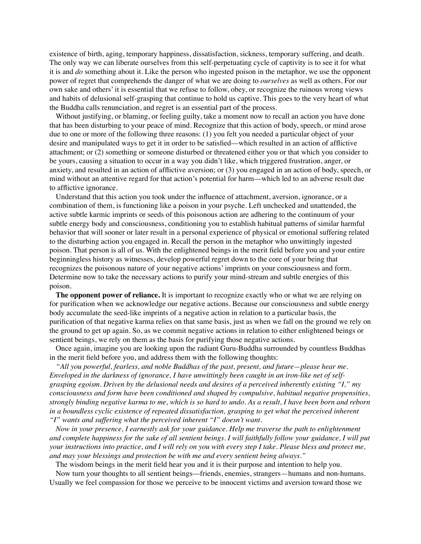existence of birth, aging, temporary happiness, dissatisfaction, sickness, temporary suffering, and death. The only way we can liberate ourselves from this self-perpetuating cycle of captivity is to see it for what it is and *do* something about it. Like the person who ingested poison in the metaphor, we use the opponent power of regret that comprehends the danger of what we are doing to *ourselves* as well as others. For our own sake and others' it is essential that we refuse to follow, obey, or recognize the ruinous wrong views and habits of delusional self-grasping that continue to hold us captive. This goes to the very heart of what the Buddha calls renunciation, and regret is an essential part of the process.

Without justifying, or blaming, or feeling guilty, take a moment now to recall an action you have done that has been disturbing to your peace of mind. Recognize that this action of body, speech, or mind arose due to one or more of the following three reasons: (1) you felt you needed a particular object of your desire and manipulated ways to get it in order to be satisfied––which resulted in an action of afflictive attachment; or (2) something or someone disturbed or threatened either you or that which you consider to be yours, causing a situation to occur in a way you didn't like, which triggered frustration, anger, or anxiety, and resulted in an action of afflictive aversion; or (3) you engaged in an action of body, speech, or mind without an attentive regard for that action's potential for harm––which led to an adverse result due to afflictive ignorance.

Understand that this action you took under the influence of attachment, aversion, ignorance, or a combination of them, is functioning like a poison in your psyche. Left unchecked and unattended, the active subtle karmic imprints or seeds of this poisonous action are adhering to the continuum of your subtle energy body and consciousness, conditioning you to establish habitual patterns of similar harmful behavior that will sooner or later result in a personal experience of physical or emotional suffering related to the disturbing action you engaged in. Recall the person in the metaphor who unwittingly ingested poison. That person is all of us. With the enlightened beings in the merit field before you and your entire beginningless history as witnesses, develop powerful regret down to the core of your being that recognizes the poisonous nature of your negative actions' imprints on your consciousness and form. Determine now to take the necessary actions to purify your mind-stream and subtle energies of this poison.

**The opponent power of reliance.** It is important to recognize exactly who or what we are relying on for purification when we acknowledge our negative actions. Because our consciousness and subtle energy body accumulate the seed-like imprints of a negative action in relation to a particular basis, the purification of that negative karma relies on that same basis, just as when we fall on the ground we rely on the ground to get up again. So, as we commit negative actions in relation to either enlightened beings or sentient beings, we rely on them as the basis for purifying those negative actions.

Once again, imagine you are looking upon the radiant Guru-Buddha surrounded by countless Buddhas in the merit field before you, and address them with the following thoughts:

*"All you powerful, fearless, and noble Buddhas of the past, present, and future—please hear me. Enveloped in the darkness of ignorance, I have unwittingly been caught in an iron-like net of selfgrasping egoism. Driven by the delusional needs and desires of a perceived inherently existing "I," my consciousness and form have been conditioned and shaped by compulsive, habitual negative propensities, strongly binding negative karma to me, which is so hard to undo. As a result, I have been born and reborn in a boundless cyclic existence of repeated dissatisfaction, grasping to get what the perceived inherent "I" wants and suffering what the perceived inherent "I" doesn't want.* 

*Now in your presence, I earnestly ask for your guidance. Help me traverse the path to enlightenment and complete happiness for the sake of all sentient beings. I will faithfully follow your guidance, I will put your instructions into practice, and I will rely on you with every step I take. Please bless and protect me, and may your blessings and protection be with me and every sentient being always."* 

The wisdom beings in the merit field hear you and it is their purpose and intention to help you.

Now turn your thoughts to all sentient beings––friends, enemies, strangers—humans and non-humans. Usually we feel compassion for those we perceive to be innocent victims and aversion toward those we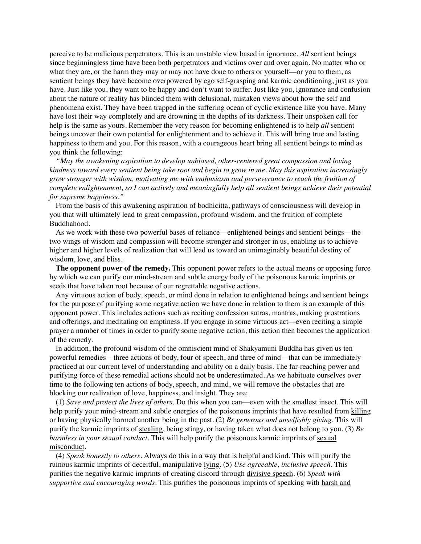perceive to be malicious perpetrators. This is an unstable view based in ignorance. *All* sentient beings since beginningless time have been both perpetrators and victims over and over again. No matter who or what they are, or the harm they may or may not have done to others or yourself—or you to them, as sentient beings they have become overpowered by ego self-grasping and karmic conditioning, just as you have. Just like you, they want to be happy and don't want to suffer. Just like you, ignorance and confusion about the nature of reality has blinded them with delusional, mistaken views about how the self and phenomena exist. They have been trapped in the suffering ocean of cyclic existence like you have. Many have lost their way completely and are drowning in the depths of its darkness. Their unspoken call for help is the same as yours. Remember the very reason for becoming enlightened is to help *all* sentient beings uncover their own potential for enlightenment and to achieve it. This will bring true and lasting happiness to them and you. For this reason, with a courageous heart bring all sentient beings to mind as you think the following:

*"May the awakening aspiration to develop unbiased, other-centered great compassion and loving kindness toward every sentient being take root and begin to grow in me. May this aspiration increasingly grow stronger with wisdom, motivating me with enthusiasm and perseverance to reach the fruition of complete enlightenment, so I can actively and meaningfully help all sentient beings achieve their potential for supreme happiness."*

From the basis of this awakening aspiration of bodhicitta, pathways of consciousness will develop in you that will ultimately lead to great compassion, profound wisdom, and the fruition of complete Buddhahood.

As we work with these two powerful bases of reliance––enlightened beings and sentient beings––the two wings of wisdom and compassion will become stronger and stronger in us, enabling us to achieve higher and higher levels of realization that will lead us toward an unimaginably beautiful destiny of wisdom, love, and bliss.

**The opponent power of the remedy.** This opponent power refers to the actual means or opposing force by which we can purify our mind-stream and subtle energy body of the poisonous karmic imprints or seeds that have taken root because of our regrettable negative actions.

Any virtuous action of body, speech, or mind done in relation to enlightened beings and sentient beings for the purpose of purifying some negative action we have done in relation to them is an example of this opponent power. This includes actions such as reciting confession sutras, mantras, making prostrations and offerings, and meditating on emptiness. If you engage in some virtuous act––even reciting a simple prayer a number of times in order to purify some negative action, this action then becomes the application of the remedy.

In addition, the profound wisdom of the omniscient mind of Shakyamuni Buddha has given us ten powerful remedies—three actions of body, four of speech, and three of mind—that can be immediately practiced at our current level of understanding and ability on a daily basis. The far-reaching power and purifying force of these remedial actions should not be underestimated. As we habituate ourselves over time to the following ten actions of body, speech, and mind, we will remove the obstacles that are blocking our realization of love, happiness, and insight. They are:

(1) *Save and protect the lives of others*. Do this when you can––even with the smallest insect. This will help purify your mind-stream and subtle energies of the poisonous imprints that have resulted from killing or having physically harmed another being in the past. (2) *Be generous and unselfishly giving*. This will purify the karmic imprints of stealing, being stingy, or having taken what does not belong to you. (3) *Be harmless in your sexual conduct*. This will help purify the poisonous karmic imprints of sexual misconduct.

(4) *Speak honestly to others.* Always do this in a way that is helpful and kind. This will purify the ruinous karmic imprints of deceitful, manipulative lying. (5) *Use agreeable, inclusive speech*. This purifies the negative karmic imprints of creating discord through divisive speech. (6) *Speak with supportive and encouraging words*. This purifies the poisonous imprints of speaking with harsh and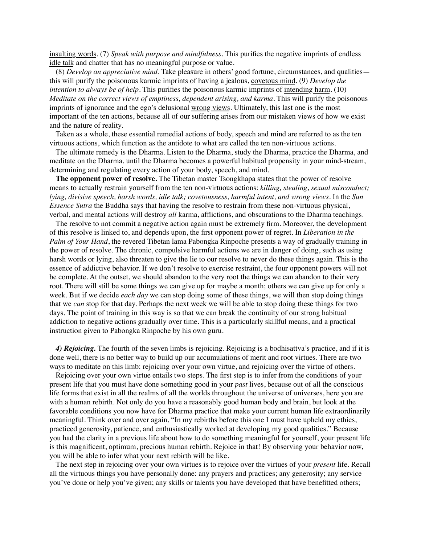insulting words. (7) *Speak with purpose and mindfulness*. This purifies the negative imprints of endless idle talk and chatter that has no meaningful purpose or value.

(8) *Develop an appreciative mind*. Take pleasure in others' good fortune, circumstances, and qualities this will purify the poisonous karmic imprints of having a jealous, covetous mind. (9) *Develop the intention to always be of help*. This purifies the poisonous karmic imprints of intending harm. (10) *Meditate on the correct views of emptiness, dependent arising, and karma*. This will purify the poisonous imprints of ignorance and the ego's delusional wrong views. Ultimately, this last one is the most important of the ten actions, because all of our suffering arises from our mistaken views of how we exist and the nature of reality.

Taken as a whole, these essential remedial actions of body, speech and mind are referred to as the ten virtuous actions, which function as the antidote to what are called the ten non-virtuous actions.

The ultimate remedy is the Dharma. Listen to the Dharma, study the Dharma, practice the Dharma, and meditate on the Dharma, until the Dharma becomes a powerful habitual propensity in your mind-stream, determining and regulating every action of your body, speech, and mind.

**The opponent power of resolve.** The Tibetan master Tsongkhapa states that the power of resolve means to actually restrain yourself from the ten non-virtuous actions: *killing, stealing, sexual misconduct; lying, divisive speech, harsh words, idle talk; covetousness, harmful intent, and wrong views*. In the *Sun Essence Sutra* the Buddha says that having the resolve to restrain from these non-virtuous physical, verbal, and mental actions will destroy *all* karma, afflictions, and obscurations to the Dharma teachings.

The resolve to not commit a negative action again must be extremely firm. Moreover, the development of this resolve is linked to, and depends upon, the first opponent power of regret. In *Liberation in the Palm of Your Hand*, the revered Tibetan lama Pabongka Rinpoche presents a way of gradually training in the power of resolve. The chronic, compulsive harmful actions we are in danger of doing, such as using harsh words or lying, also threaten to give the lie to our resolve to never do these things again. This is the essence of addictive behavior. If we don't resolve to exercise restraint, the four opponent powers will not be complete. At the outset, we should abandon to the very root the things we can abandon to their very root. There will still be some things we can give up for maybe a month; others we can give up for only a week. But if we decide *each day* we can stop doing some of these things, we will then stop doing things that we *can* stop for that day. Perhaps the next week we will be able to stop doing these things for two days. The point of training in this way is so that we can break the continuity of our strong habitual addiction to negative actions gradually over time. This is a particularly skillful means, and a practical instruction given to Pabongka Rinpoche by his own guru.

*4) Rejoicing.* The fourth of the seven limbs is rejoicing. Rejoicing is a bodhisattva's practice, and if it is done well, there is no better way to build up our accumulations of merit and root virtues. There are two ways to meditate on this limb: rejoicing over your own virtue, and rejoicing over the virtue of others.

Rejoicing over your own virtue entails two steps. The first step is to infer from the conditions of your present life that you must have done something good in your *past* lives, because out of all the conscious life forms that exist in all the realms of all the worlds throughout the universe of universes, here you are with a human rebirth. Not only do you have a reasonably good human body and brain, but look at the favorable conditions you now have for Dharma practice that make your current human life extraordinarily meaningful. Think over and over again, "In my rebirths before this one I must have upheld my ethics, practiced generosity, patience, and enthusiastically worked at developing my good qualities." Because you had the clarity in a previous life about how to do something meaningful for yourself, your present life is this magnificent, optimum, precious human rebirth. Rejoice in that! By observing your behavior now, you will be able to infer what your next rebirth will be like.

The next step in rejoicing over your own virtues is to rejoice over the virtues of your *present* life. Recall all the virtuous things you have personally done: any prayers and practices; any generosity; any service you've done or help you've given; any skills or talents you have developed that have benefitted others;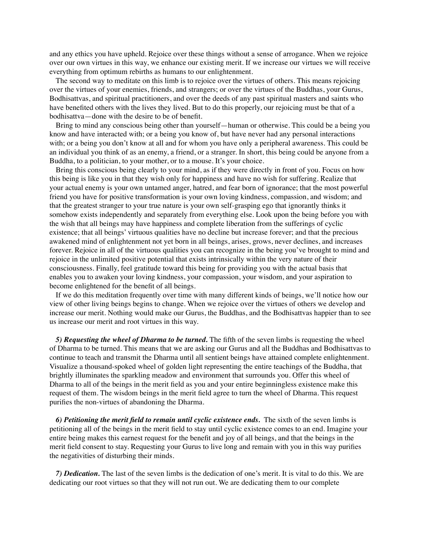and any ethics you have upheld. Rejoice over these things without a sense of arrogance. When we rejoice over our own virtues in this way, we enhance our existing merit. If we increase our virtues we will receive everything from optimum rebirths as humans to our enlightenment.

The second way to meditate on this limb is to rejoice over the virtues of others. This means rejoicing over the virtues of your enemies, friends, and strangers; or over the virtues of the Buddhas, your Gurus, Bodhisattvas, and spiritual practitioners, and over the deeds of any past spiritual masters and saints who have benefited others with the lives they lived. But to do this properly, our rejoicing must be that of a bodhisattva—done with the desire to be of benefit.

Bring to mind any conscious being other than yourself—human or otherwise. This could be a being you know and have interacted with; or a being you know of, but have never had any personal interactions with; or a being you don't know at all and for whom you have only a peripheral awareness. This could be an individual you think of as an enemy, a friend, or a stranger. In short, this being could be anyone from a Buddha, to a politician, to your mother, or to a mouse. It's your choice.

Bring this conscious being clearly to your mind, as if they were directly in front of you. Focus on how this being is like you in that they wish only for happiness and have no wish for suffering. Realize that your actual enemy is your own untamed anger, hatred, and fear born of ignorance; that the most powerful friend you have for positive transformation is your own loving kindness, compassion, and wisdom; and that the greatest stranger to your true nature is your own self-grasping ego that ignorantly thinks it somehow exists independently and separately from everything else. Look upon the being before you with the wish that all beings may have happiness and complete liberation from the sufferings of cyclic existence; that all beings' virtuous qualities have no decline but increase forever; and that the precious awakened mind of enlightenment not yet born in all beings, arises, grows, never declines, and increases forever. Rejoice in all of the virtuous qualities you can recognize in the being you've brought to mind and rejoice in the unlimited positive potential that exists intrinsically within the very nature of their consciousness. Finally, feel gratitude toward this being for providing you with the actual basis that enables you to awaken your loving kindness, your compassion, your wisdom, and your aspiration to become enlightened for the benefit of all beings.

If we do this meditation frequently over time with many different kinds of beings, we'll notice how our view of other living beings begins to change. When we rejoice over the virtues of others we develop and increase our merit. Nothing would make our Gurus, the Buddhas, and the Bodhisattvas happier than to see us increase our merit and root virtues in this way.

*5) Requesting the wheel of Dharma to be turned.* The fifth of the seven limbs is requesting the wheel of Dharma to be turned. This means that we are asking our Gurus and all the Buddhas and Bodhisattvas to continue to teach and transmit the Dharma until all sentient beings have attained complete enlightenment. Visualize a thousand-spoked wheel of golden light representing the entire teachings of the Buddha, that brightly illuminates the sparkling meadow and environment that surrounds you. Offer this wheel of Dharma to all of the beings in the merit field as you and your entire beginningless existence make this request of them. The wisdom beings in the merit field agree to turn the wheel of Dharma. This request purifies the non-virtues of abandoning the Dharma.

*6) Petitioning the merit field to remain until cyclic existence ends.* The sixth of the seven limbs is petitioning all of the beings in the merit field to stay until cyclic existence comes to an end. Imagine your entire being makes this earnest request for the benefit and joy of all beings, and that the beings in the merit field consent to stay. Requesting your Gurus to live long and remain with you in this way purifies the negativities of disturbing their minds.

*7) Dedication.* The last of the seven limbs is the dedication of one's merit. It is vital to do this. We are dedicating our root virtues so that they will not run out. We are dedicating them to our complete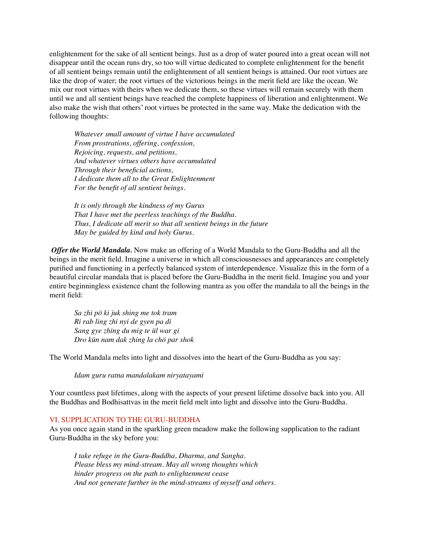enlightenment for the sake of all sentient beings. Just as a drop of water poured into a great ocean will not disappear until the ocean runs dry, so too will virtue dedicated to complete enlightenment for the benefit of all sentient beings remain until the enlightenment of all sentient beings is attained. Our root virtues are like the drop of water; the root virtues of the victorious beings in the merit field are like the ocean. We mix our root virtues with theirs when we dedicate them, so these virtues will remain securely with them until we and all sentient beings have reached the complete happiness of liberation and enlightenment. We also make the wish that others' root virtues be protected in the same way. Make the dedication with the following thoughts:

*Whatever small amount of virtue I have accumulated From prostrations, offering, confession, Rejoicing, requests, and petitions, And whatever virtues others have accumulated Through their beneficial actions, I dedicate them all to the Great Enlightenment For the benefit of all sentient beings.*

*It is only through the kindness of my Gurus That I have met the peerless teachings of the Buddha. Thus, I dedicate all merit so that all sentient beings in the future May be guided by kind and holy Gurus.*

 *Offer the World Mandala.* Now make an offering of a World Mandala to the Guru-Buddha and all the beings in the merit field. Imagine a universe in which all consciousnesses and appearances are completely purified and functioning in a perfectly balanced system of interdependence. Visualize this in the form of a beautiful circular mandala that is placed before the Guru-Buddha in the merit field. Imagine you and your entire beginningless existence chant the following mantra as you offer the mandala to all the beings in the merit field:

*Sa zhi pö ki juk shing me tok tram Ri rab ling zhi nyi de gyen pa di Sang gye zhing du mig te ül war gi Dro kün nam dak zhing la chö par shok* 

The World Mandala melts into light and dissolves into the heart of the Guru-Buddha as you say:

*Idam guru ratna mandalakam niryatayami* 

Your countless past lifetimes, along with the aspects of your present lifetime dissolve back into you. All the Buddhas and Bodhisattvas in the merit field melt into light and dissolve into the Guru-Buddha.

## VI. SUPPLICATION TO THE GURU-BUDDHA

As you once again stand in the sparkling green meadow make the following supplication to the radiant Guru-Buddha in the sky before you:

*I take refuge in the Guru-Buddha, Dharma, and Sangha. Please bless my mind-stream. May all wrong thoughts which hinder progress on the path to enlightenment cease And not generate further in the mind-streams of myself and others.*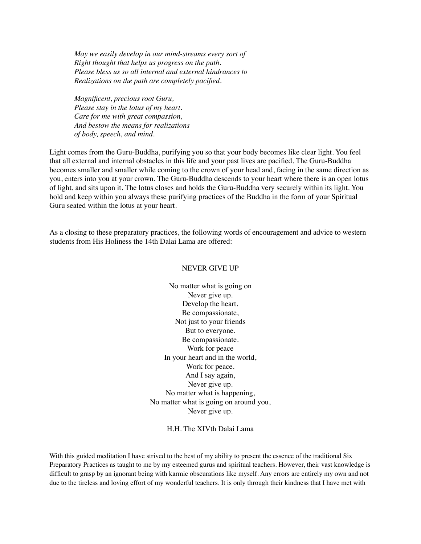*May we easily develop in our mind-streams every sort of Right thought that helps us progress on the path. Please bless us so all internal and external hindrances to Realizations on the path are completely pacified.*

*Magnificent, precious root Guru, Please stay in the lotus of my heart. Care for me with great compassion, And bestow the means for realizations of body, speech, and mind.*

Light comes from the Guru-Buddha, purifying you so that your body becomes like clear light. You feel that all external and internal obstacles in this life and your past lives are pacified. The Guru-Buddha becomes smaller and smaller while coming to the crown of your head and, facing in the same direction as you, enters into you at your crown. The Guru-Buddha descends to your heart where there is an open lotus of light, and sits upon it. The lotus closes and holds the Guru-Buddha very securely within its light. You hold and keep within you always these purifying practices of the Buddha in the form of your Spiritual Guru seated within the lotus at your heart.

As a closing to these preparatory practices, the following words of encouragement and advice to western students from His Holiness the 14th Dalai Lama are offered:

#### NEVER GIVE UP

No matter what is going on Never give up. Develop the heart. Be compassionate, Not just to your friends But to everyone. Be compassionate. Work for peace In your heart and in the world, Work for peace. And I say again, Never give up. No matter what is happening, No matter what is going on around you, Never give up.

H.H. The XIVth Dalai Lama

With this guided meditation I have strived to the best of my ability to present the essence of the traditional Six Preparatory Practices as taught to me by my esteemed gurus and spiritual teachers. However, their vast knowledge is difficult to grasp by an ignorant being with karmic obscurations like myself. Any errors are entirely my own and not due to the tireless and loving effort of my wonderful teachers. It is only through their kindness that I have met with